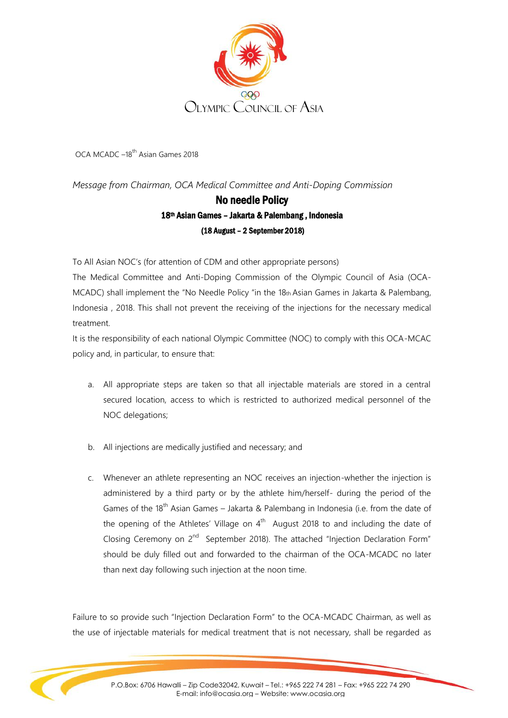

OCA MCADC -18<sup>th</sup> Asian Games 2018

*Message from Chairman, OCA Medical Committee and Anti-Doping Commission* 

## No needle Policy 18<sup>th</sup> Asian Games - Jakarta & Palembang, Indonesia (18 August – 2 September 2018)

To All Asian NOC's (for attention of CDM and other appropriate persons)

The Medical Committee and Anti-Doping Commission of the Olympic Council of Asia (OCA-MCADC) shall implement the "No Needle Policy "in the 18th Asian Games in Jakarta & Palembang, Indonesia , 2018. This shall not prevent the receiving of the injections for the necessary medical treatment.

It is the responsibility of each national Olympic Committee (NOC) to comply with this OCA-MCAC policy and, in particular, to ensure that:

- a. All appropriate steps are taken so that all injectable materials are stored in a central secured location, access to which is restricted to authorized medical personnel of the NOC delegations;
- b. All injections are medically justified and necessary; and
- c. Whenever an athlete representing an NOC receives an injection-whether the injection is administered by a third party or by the athlete him/herself- during the period of the Games of the 18<sup>th</sup> Asian Games – Jakarta & Palembang in Indonesia (i.e. from the date of the opening of the Athletes' Village on  $4<sup>th</sup>$  August 2018 to and including the date of Closing Ceremony on 2<sup>nd</sup> September 2018). The attached "Injection Declaration Form" should be duly filled out and forwarded to the chairman of the OCA-MCADC no later than next day following such injection at the noon time.

Failure to so provide such "Injection Declaration Form" to the OCA-MCADC Chairman, as well as the use of injectable materials for medical treatment that is not necessary, shall be regarded as